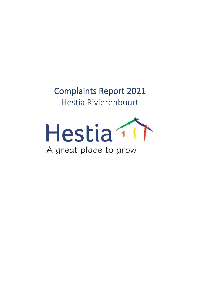Complaints Report 2021 Hestia Rivierenbuurt

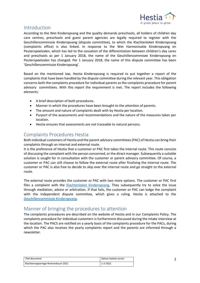

## Introduction

According to the Wet Kinderopvang and the quality demands preschools, all holders of children day care centres, preschools and guest parent agencies are legally required to register with the Geschillencommissie Kinderopvang (dispute committee), to which the Klachtenloket Kinderopvang (complaints office) is also linked. In response to the Wet Harmonisatie Kinderopvang en Peuterspeelzalen, which has led to the cessation of the differentiation between children's day cares and preschools as per 1 January 2018, the name of the Geschillencommisee Kinderopvang en Peuterspeelzalen has changed. Per 1 January 2018, the name of this dispute committee has been 'Geschillencommissie Kinderopvang'.

Based on the mentioned law, Hestia Kinderopvang is required to put together a report of the complaints that have been handled by the dispute committee during the relevant year. This obligation concerns both the complaints procedure for individual parents as the complaints procedure for parent advisory committees. With this report the requirement is met. The report includes the following elements:

- A brief description of both procedures.
- Manner in which the procedures have been brought to the attention of parents.
- The amount and nature of complaints dealt with by Hestia per location.
- Purport of the assessments and recommendations and the nature of the measures taken per location.
- Hestia ensures that assessments are not traceable to natural persons.

# Complaints Procedures Hestia

Both individual customers of Hestia and the parent advisory committees (PAC) of Hestia can bring their complaints through an internal and external route.

It is the preference of Hestia that a customer or PAC first takes the internal route. This route consists of discussing the complaint with the person concerned, or the direct manager. Subsequently a suitable solution is sought for in consultation with the customer or parent advisory committee. Of course, a customer or PAC can still choose to follow the external route after finalising the internal route. The customer or PAC is also free to decide to skip over the internal route and go straight to the external route.

The external route provides the customer or PAC with two more options. The customer or PAC first files a complaint with the [Klachtenloket Kinderopvang.](https://www.klachtenloket-kinderopvang.nl/) They subsequently try to solve the issue through mediation, advice or arbitration. If that fails, the customer or PAC can lodge the complaint with the independent dispute committee, which gives a ruling. Hestia is attached to the [Geschillencommissie Kinderopvang.](https://www.degeschillencommissie.nl/over-ons/commissies/kinderopvang/)

# Manner of bringing the procedures to attention

The complaints procedures are described on the website of Hestia and in our Complaints Policy. The complaints procedure for individual customers is furthermore discussed during the intake interview at the location. The PACS are notified on a yearly basis of the complaints procedure for the PACs, during which the PAC also receives the yearly complaints report and the parents are informed through a newsletter.

| Titel document:                       | Datum laatste versie: |
|---------------------------------------|-----------------------|
| Klachtenrapportage Rivierenbuurt 2021 | 1-2-2022              |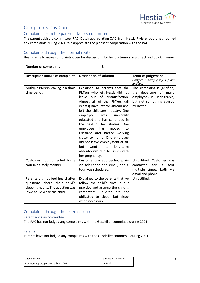

# Complaints Day Care

### Complaints from the parent advisory committee

The parent advisory committee (PAC, Dutch abbreviation OAC) from Hestia Rivierenbuurt has not filed any complaints during 2021. We appreciate the pleasant cooperation with the PAC.

#### Complaints through the internal route

Hestia aims to make complaints open for discussions for her customers in a direct and quick manner.

| <b>Number of complaints</b>                                                                                                           | $\overline{\mathbf{3}}$                                                                                                                                                                                                                                                                                                                                                                                                                                                                                                                     |                                                                                                                                |  |
|---------------------------------------------------------------------------------------------------------------------------------------|---------------------------------------------------------------------------------------------------------------------------------------------------------------------------------------------------------------------------------------------------------------------------------------------------------------------------------------------------------------------------------------------------------------------------------------------------------------------------------------------------------------------------------------------|--------------------------------------------------------------------------------------------------------------------------------|--|
|                                                                                                                                       |                                                                                                                                                                                                                                                                                                                                                                                                                                                                                                                                             |                                                                                                                                |  |
| <b>Description nature of complaint</b>                                                                                                | <b>Description of solution</b>                                                                                                                                                                                                                                                                                                                                                                                                                                                                                                              | <b>Tenor of judgement</b><br>(Justified / partly justified / not<br>justified)                                                 |  |
| Multiple PM'ers leaving in a short<br>time period                                                                                     | Explained to parents that the<br>PM'ers who left Hestia did not<br>leave out of dissatisfaction.<br>Almost all of the PM'ers (all<br>expats) have left for abroad and<br>left the childcare industry. One<br>university<br>employee<br>was<br>educated and has continued in<br>the field of her studies. One<br>employee<br>has<br>moved<br>to<br>Friesland and started working<br>closer to home. One employee<br>did not leave employment at all,<br>into<br>went<br>long-term<br>but<br>absenteeism due to issues with<br>her pregnancy. | The complaint is justified,<br>departure of many<br>the<br>employees is undesirable,<br>but not something caused<br>by Hestia. |  |
| Customer not contacted for a<br>tour in a timely manner.                                                                              | Customer was approached again<br>via telephone and email, and a<br>tour was scheduled.                                                                                                                                                                                                                                                                                                                                                                                                                                                      | Unjustified. Customer was<br>for<br>contacted<br>a<br>tour<br>multiple times, both via<br>email and phone.                     |  |
| Parents did not feel heard after<br>questions about their child's<br>sleeping habits. The question was<br>if we could wake the child. | Explained to the parents that we<br>follow the child's cues in our<br>practice and assume the child is<br>competent. Children are not<br>obligated to sleep, but sleep<br>when necessary.                                                                                                                                                                                                                                                                                                                                                   | Unjustified.                                                                                                                   |  |

## Complaints through the external route

Parent advisory committee

The PAC has not lodged any complaints with the Geschillencommissie during 2021.

#### Parents

Parents have not lodged any complaints with the Geschillencommissie during 2021.

| Titel document:                       | Datum laatste versie: |
|---------------------------------------|-----------------------|
| Klachtenrapportage Rivierenbuurt 2021 | 1-2-2022              |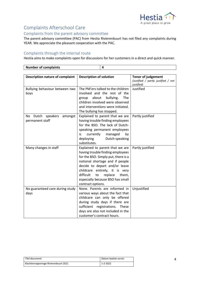

# Complaints Afterschool Care

### Complaints from the parent advisory committee

The parent advisory committee (PAC) from Hestia Rivierenbuurt has not filed any complaints during YEAR. We appreciate the pleasant cooperation with the PAC.

#### Complaints through the internal route

Hestia aims to make complaints open for discussions for her customers in a direct and quick manner.

| <b>Number of complaints</b> |  |
|-----------------------------|--|
|                             |  |

| <b>Description nature of complaint</b> | <b>Description of solution</b>                                      | <b>Tenor of judgement</b><br>(Justified / partly justified / not |
|----------------------------------------|---------------------------------------------------------------------|------------------------------------------------------------------|
|                                        |                                                                     | justified)                                                       |
| Bullying behaviour between two         | The PM'ers talked to the children                                   | Justified                                                        |
| boys                                   | involved and the rest of the                                        |                                                                  |
|                                        | bullying.<br>about<br>The<br>group                                  |                                                                  |
|                                        | children involved were observed                                     |                                                                  |
|                                        | and interventions were initiated.                                   |                                                                  |
|                                        | The bullying has stopped.                                           |                                                                  |
| Dutch<br>speakers<br>amongst<br>No.    | Explained to parent that we are                                     | Partly justified                                                 |
| permanent staff                        | having trouble finding employees<br>for the BSO. The lack of Dutch- |                                                                  |
|                                        | speaking permanent employees                                        |                                                                  |
|                                        | currently<br>managed<br>by<br>is                                    |                                                                  |
|                                        | Dutch-speaking<br>deploying                                         |                                                                  |
|                                        | substitutes.                                                        |                                                                  |
| Many changes in staff                  | Explained to parent that we are                                     | Partly justified                                                 |
|                                        | having trouble finding employees                                    |                                                                  |
|                                        | for the BSO. Simply put, there is a                                 |                                                                  |
|                                        | national shortage and if people                                     |                                                                  |
|                                        | decide to depart and/or leave                                       |                                                                  |
|                                        | childcare entirely, it is very                                      |                                                                  |
|                                        | difficult<br>replace<br>them,<br>to                                 |                                                                  |
|                                        | especially because BSO has small                                    |                                                                  |
|                                        | contract options.                                                   |                                                                  |
| No guaranteed care during study        | None. Parents are informed in                                       | Unjustified                                                      |
| days                                   | various ways about the fact that                                    |                                                                  |
|                                        | childcare can only be offered                                       |                                                                  |
|                                        | during study days if there are                                      |                                                                  |
|                                        | sufficient registrations. These                                     |                                                                  |
|                                        | days are also not included in the                                   |                                                                  |
|                                        | customer's contract hours.                                          |                                                                  |

| Titel document:                       | Datum laatste versie: |
|---------------------------------------|-----------------------|
| Klachtenrapportage Rivierenbuurt 2021 | 1-2-2022              |